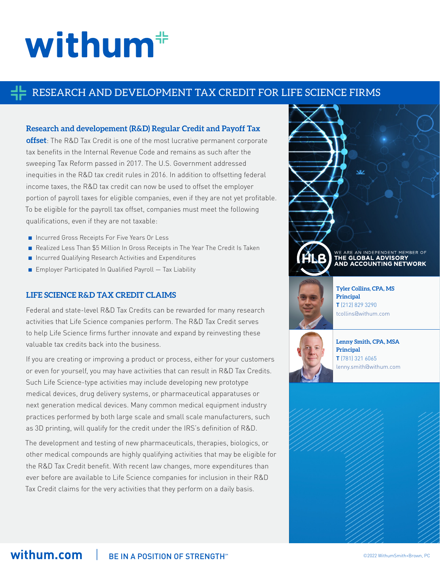## withum<sup>#</sup>

### [RESEARCH AND DEVELOPMENT TAX CREDIT FOR LIFE SCIENCE FIRMS](https://www.withum.com/service/rd-tax-credit/)

### **Research and developement (R&D) Regular Credit and Payoff Tax**

**offset**: The R&D Tax Credit is one of the most lucrative permanent corporate tax benefits in the Internal Revenue Code and remains as such after the sweeping Tax Reform passed in 2017. The U.S. Government addressed inequities in the R&D tax credit rules in 2016. In addition to offsetting federal income taxes, the R&D tax credit can now be used to offset the employer portion of payroll taxes for eligible companies, even if they are not yet profitable. To be eligible for the payroll tax offset, companies must meet the following qualifications, even if they are not taxable:

- Incurred Gross Receipts For Five Years Or Less
- Realized Less Than \$5 Million In Gross Receipts in The Year The Credit Is Taken
- Incurred Qualifying Research Activities and Expenditures
- Employer Participated In Qualified Payroll Tax Liability

### **LIFE SCIENCE R&D TAX CREDIT CLAIMS**

Federal and state-level R&D Tax Credits can be rewarded for many research activities that Life Science companies perform. The R&D Tax Credit serves to help Life Science firms further innovate and expand by reinvesting these valuable tax credits back into the business.

If you are creating or improving a product or process, either for your customers or even for yourself, you may have activities that can result in R&D Tax Credits. Such Life Science-type activities may include developing new prototype medical devices, drug delivery systems, or pharmaceutical apparatuses or next generation medical devices. Many common medical equipment industry practices performed by both large scale and small scale manufacturers, such as 3D printing, will qualify for the credit under the IRS's definition of R&D.

The development and testing of new pharmaceuticals, therapies, biologics, or other medical compounds are highly qualifying activities that may be eligible for the R&D Tax Credit benefit. With recent law changes, more expenditures than ever before are available to Life Science companies for inclusion in their R&D Tax Credit claims for the very activities that they perform on a daily basis.





**Principal T** (781) 321 6065 [lenny.smith@withum.com](http://lenny.smith@withum.com)